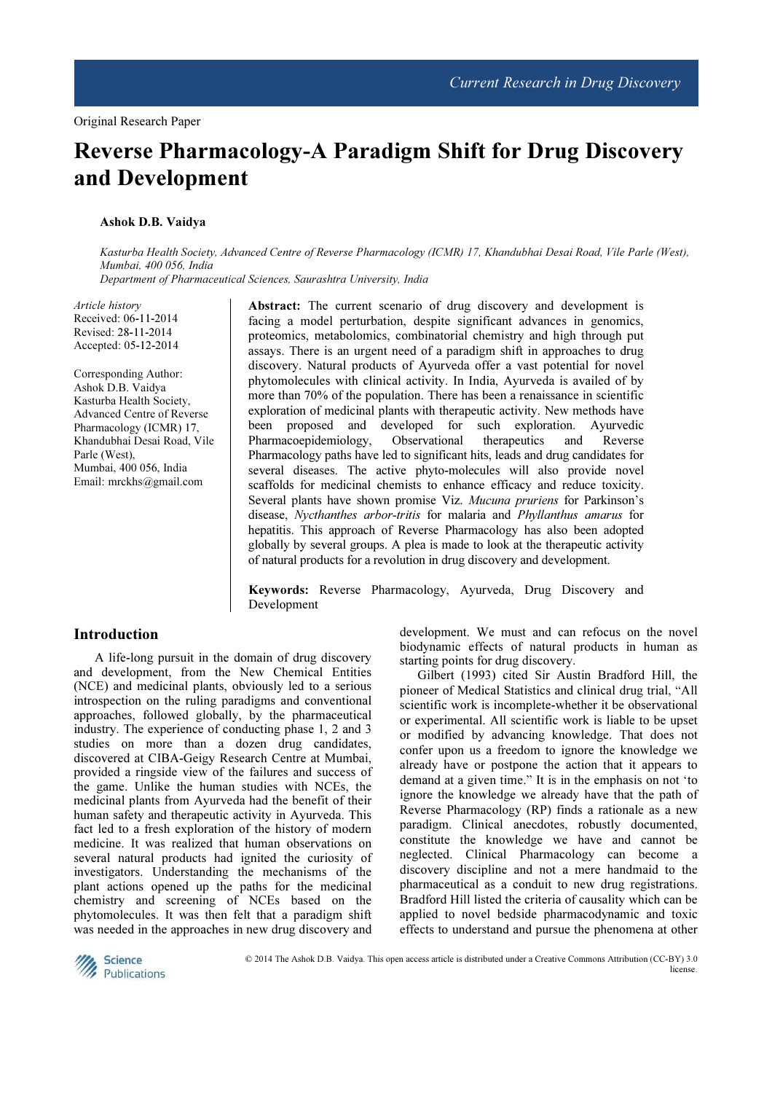# Reverse Pharmacology-A Paradigm Shift for Drug Discovery and Development

#### Ashok D.B. Vaidya

Kasturba Health Society, Advanced Centre of Reverse Pharmacology (ICMR) 17, Khandubhai Desai Road, Vile Parle (West), Mumbai, 400 056, India

Department of Pharmaceutical Sciences, Saurashtra University, India

Article history Received: 06-11-2014 Revised: 28-11-2014 Accepted: 05-12-2014

Corresponding Author: Ashok D.B. Vaidya Kasturba Health Society, Advanced Centre of Reverse Pharmacology (ICMR) 17, Khandubhai Desai Road, Vile Parle (West), Mumbai, 400 056, India Email: mrckhs@gmail.com

Abstract: The current scenario of drug discovery and development is facing a model perturbation, despite significant advances in genomics, proteomics, metabolomics, combinatorial chemistry and high through put assays. There is an urgent need of a paradigm shift in approaches to drug discovery. Natural products of Ayurveda offer a vast potential for novel phytomolecules with clinical activity. In India, Ayurveda is availed of by more than 70% of the population. There has been a renaissance in scientific exploration of medicinal plants with therapeutic activity. New methods have been proposed and developed for such exploration. Ayurvedic Pharmacoepidemiology, Observational therapeutics and Reverse Pharmacology paths have led to significant hits, leads and drug candidates for several diseases. The active phyto-molecules will also provide novel scaffolds for medicinal chemists to enhance efficacy and reduce toxicity. Several plants have shown promise Viz. Mucuna pruriens for Parkinson's disease, Nycthanthes arbor-tritis for malaria and Phyllanthus amarus for hepatitis. This approach of Reverse Pharmacology has also been adopted globally by several groups. A plea is made to look at the therapeutic activity of natural products for a revolution in drug discovery and development.

Keywords: Reverse Pharmacology, Ayurveda, Drug Discovery and Development

### Introduction

 A life-long pursuit in the domain of drug discovery and development, from the New Chemical Entities (NCE) and medicinal plants, obviously led to a serious introspection on the ruling paradigms and conventional approaches, followed globally, by the pharmaceutical industry. The experience of conducting phase 1, 2 and 3 studies on more than a dozen drug candidates, discovered at CIBA-Geigy Research Centre at Mumbai, provided a ringside view of the failures and success of the game. Unlike the human studies with NCEs, the medicinal plants from Ayurveda had the benefit of their human safety and therapeutic activity in Ayurveda. This fact led to a fresh exploration of the history of modern medicine. It was realized that human observations on several natural products had ignited the curiosity of investigators. Understanding the mechanisms of the plant actions opened up the paths for the medicinal chemistry and screening of NCEs based on the phytomolecules. It was then felt that a paradigm shift was needed in the approaches in new drug discovery and development. We must and can refocus on the novel biodynamic effects of natural products in human as starting points for drug discovery.

Gilbert (1993) cited Sir Austin Bradford Hill, the pioneer of Medical Statistics and clinical drug trial, "All scientific work is incomplete-whether it be observational or experimental. All scientific work is liable to be upset or modified by advancing knowledge. That does not confer upon us a freedom to ignore the knowledge we already have or postpone the action that it appears to demand at a given time." It is in the emphasis on not 'to ignore the knowledge we already have that the path of Reverse Pharmacology (RP) finds a rationale as a new paradigm. Clinical anecdotes, robustly documented, constitute the knowledge we have and cannot be neglected. Clinical Pharmacology can become a discovery discipline and not a mere handmaid to the pharmaceutical as a conduit to new drug registrations. Bradford Hill listed the criteria of causality which can be applied to novel bedside pharmacodynamic and toxic effects to understand and pursue the phenomena at other



© 2014 The Ashok D.B. Vaidya. This open access article is distributed under a Creative Commons Attribution (CC-BY) 3.0 license.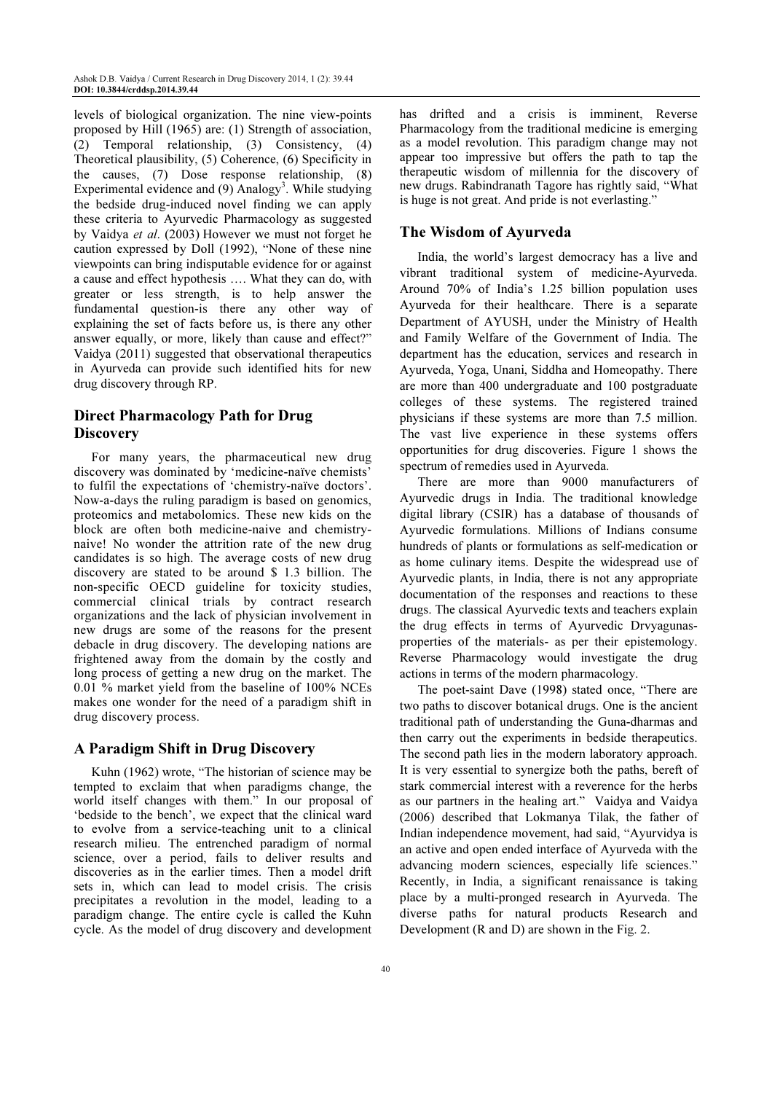levels of biological organization. The nine view-points proposed by Hill (1965) are: (1) Strength of association, (2) Temporal relationship, (3) Consistency, (4) Theoretical plausibility, (5) Coherence, (6) Specificity in the causes, (7) Dose response relationship, (8) Experimental evidence and  $(9)$  Analogy<sup>3</sup>. While studying the bedside drug-induced novel finding we can apply these criteria to Ayurvedic Pharmacology as suggested by Vaidya et al. (2003) However we must not forget he caution expressed by Doll (1992), "None of these nine viewpoints can bring indisputable evidence for or against a cause and effect hypothesis …. What they can do, with greater or less strength, is to help answer the fundamental question-is there any other way of explaining the set of facts before us, is there any other answer equally, or more, likely than cause and effect?" Vaidya (2011) suggested that observational therapeutics in Ayurveda can provide such identified hits for new drug discovery through RP.

# Direct Pharmacology Path for Drug **Discovery**

For many years, the pharmaceutical new drug discovery was dominated by 'medicine-naïve chemists' to fulfil the expectations of 'chemistry-naïve doctors'. Now-a-days the ruling paradigm is based on genomics, proteomics and metabolomics. These new kids on the block are often both medicine-naive and chemistrynaive! No wonder the attrition rate of the new drug candidates is so high. The average costs of new drug discovery are stated to be around \$ 1.3 billion. The non-specific OECD guideline for toxicity studies, commercial clinical trials by contract research organizations and the lack of physician involvement in new drugs are some of the reasons for the present debacle in drug discovery. The developing nations are frightened away from the domain by the costly and long process of getting a new drug on the market. The 0.01 % market yield from the baseline of 100% NCEs makes one wonder for the need of a paradigm shift in drug discovery process.

## A Paradigm Shift in Drug Discovery

Kuhn (1962) wrote, "The historian of science may be tempted to exclaim that when paradigms change, the world itself changes with them." In our proposal of 'bedside to the bench', we expect that the clinical ward to evolve from a service-teaching unit to a clinical research milieu. The entrenched paradigm of normal science, over a period, fails to deliver results and discoveries as in the earlier times. Then a model drift sets in, which can lead to model crisis. The crisis precipitates a revolution in the model, leading to a paradigm change. The entire cycle is called the Kuhn cycle. As the model of drug discovery and development

has drifted and a crisis is imminent, Reverse Pharmacology from the traditional medicine is emerging as a model revolution. This paradigm change may not appear too impressive but offers the path to tap the therapeutic wisdom of millennia for the discovery of new drugs. Rabindranath Tagore has rightly said, "What is huge is not great. And pride is not everlasting."

## The Wisdom of Ayurveda

India, the world's largest democracy has a live and vibrant traditional system of medicine-Ayurveda. Around 70% of India's 1.25 billion population uses Ayurveda for their healthcare. There is a separate Department of AYUSH, under the Ministry of Health and Family Welfare of the Government of India. The department has the education, services and research in Ayurveda, Yoga, Unani, Siddha and Homeopathy. There are more than 400 undergraduate and 100 postgraduate colleges of these systems. The registered trained physicians if these systems are more than 7.5 million. The vast live experience in these systems offers opportunities for drug discoveries. Figure 1 shows the spectrum of remedies used in Ayurveda.

There are more than 9000 manufacturers of Ayurvedic drugs in India. The traditional knowledge digital library (CSIR) has a database of thousands of Ayurvedic formulations. Millions of Indians consume hundreds of plants or formulations as self-medication or as home culinary items. Despite the widespread use of Ayurvedic plants, in India, there is not any appropriate documentation of the responses and reactions to these drugs. The classical Ayurvedic texts and teachers explain the drug effects in terms of Ayurvedic Drvyagunasproperties of the materials- as per their epistemology. Reverse Pharmacology would investigate the drug actions in terms of the modern pharmacology.

The poet-saint Dave (1998) stated once, "There are two paths to discover botanical drugs. One is the ancient traditional path of understanding the Guna-dharmas and then carry out the experiments in bedside therapeutics. The second path lies in the modern laboratory approach. It is very essential to synergize both the paths, bereft of stark commercial interest with a reverence for the herbs as our partners in the healing art." Vaidya and Vaidya (2006) described that Lokmanya Tilak, the father of Indian independence movement, had said, "Ayurvidya is an active and open ended interface of Ayurveda with the advancing modern sciences, especially life sciences." Recently, in India, a significant renaissance is taking place by a multi-pronged research in Ayurveda. The diverse paths for natural products Research and Development (R and D) are shown in the Fig. 2.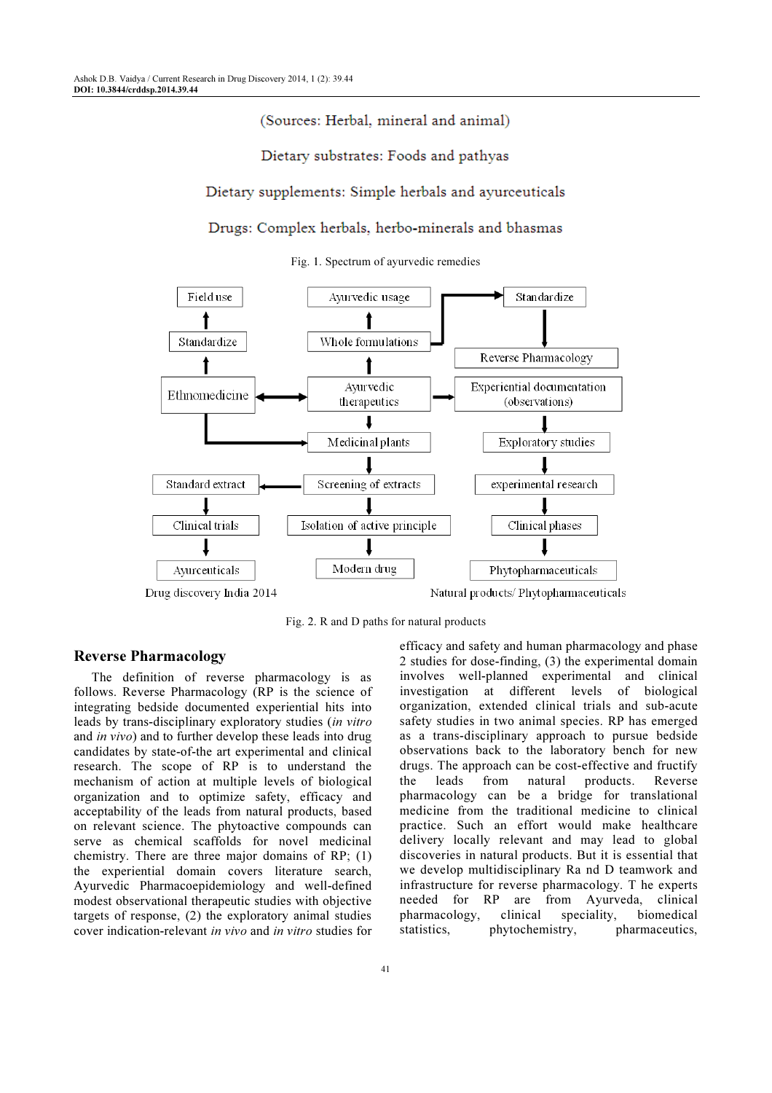# (Sources: Herbal, mineral and animal)

### Dietary substrates: Foods and pathyas

## Dietary supplements: Simple herbals and ayurceuticals

#### Drugs: Complex herbals, herbo-minerals and bhasmas

Fig. 1. Spectrum of ayurvedic remedies



Fig. 2. R and D paths for natural products

#### Reverse Pharmacology

The definition of reverse pharmacology is as follows. Reverse Pharmacology (RP is the science of integrating bedside documented experiential hits into leads by trans-disciplinary exploratory studies (in vitro and in vivo) and to further develop these leads into drug candidates by state-of-the art experimental and clinical research. The scope of RP is to understand the mechanism of action at multiple levels of biological organization and to optimize safety, efficacy and acceptability of the leads from natural products, based on relevant science. The phytoactive compounds can serve as chemical scaffolds for novel medicinal chemistry. There are three major domains of RP; (1) the experiential domain covers literature search, Ayurvedic Pharmacoepidemiology and well-defined modest observational therapeutic studies with objective targets of response, (2) the exploratory animal studies cover indication-relevant in vivo and in vitro studies for

drugs. The approach can be cost-effective and fructify the leads from natural products. Reverse pharmacology can be a bridge for translational medicine from the traditional medicine to clinical practice. Such an effort would make healthcare delivery locally relevant and may lead to global discoveries in natural products. But it is essential that we develop multidisciplinary Ra nd D teamwork and infrastructure for reverse pharmacology. T he experts needed for RP are from Ayurveda, clinical<br>pharmacology, clinical speciality, biomedical pharmacology, clinical speciality, statistics, phytochemistry, pharmaceutics,

efficacy and safety and human pharmacology and phase 2 studies for dose-finding, (3) the experimental domain involves well-planned experimental and clinical investigation at different levels of biological organization, extended clinical trials and sub-acute safety studies in two animal species. RP has emerged as a trans-disciplinary approach to pursue bedside observations back to the laboratory bench for new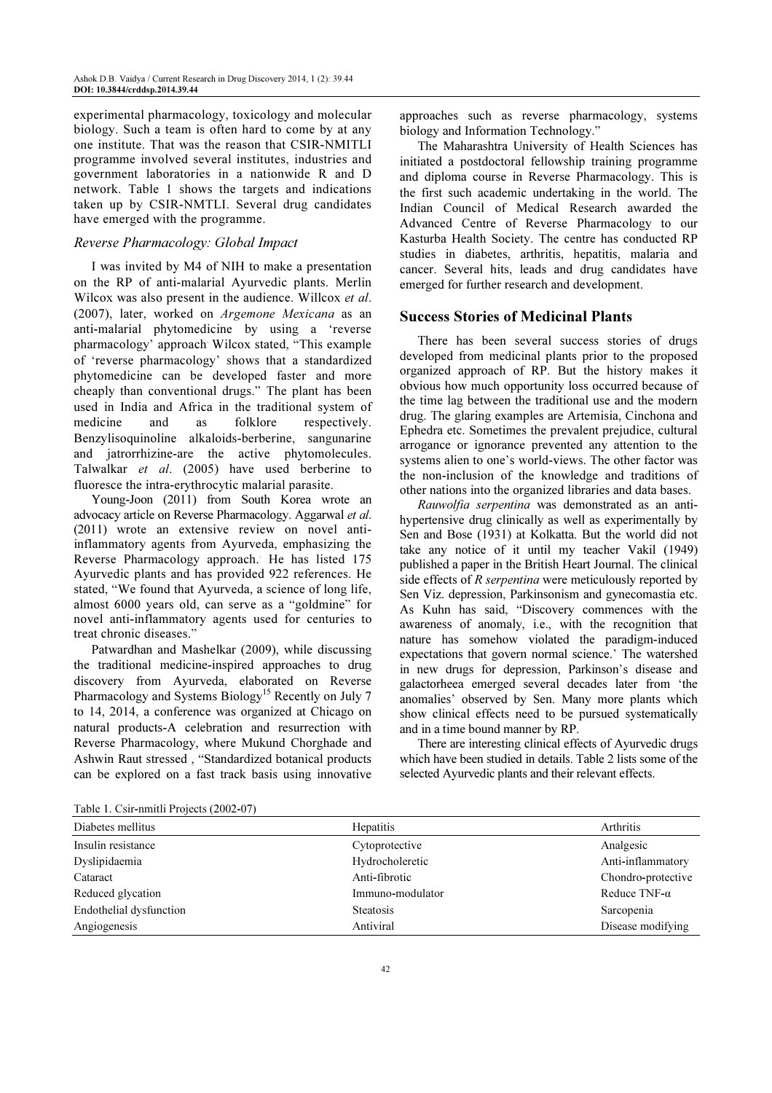experimental pharmacology, toxicology and molecular biology. Such a team is often hard to come by at any one institute. That was the reason that CSIR-NMITLI programme involved several institutes, industries and government laboratories in a nationwide R and D network. Table 1 shows the targets and indications taken up by CSIR-NMTLI. Several drug candidates have emerged with the programme.

## Reverse Pharmacology: Global Impact

I was invited by M4 of NIH to make a presentation on the RP of anti-malarial Ayurvedic plants. Merlin Wilcox was also present in the audience. Willcox et al. (2007), later, worked on Argemone Mexicana as an anti-malarial phytomedicine by using a 'reverse pharmacology' approach. Wilcox stated, "This example of 'reverse pharmacology' shows that a standardized phytomedicine can be developed faster and more cheaply than conventional drugs." The plant has been used in India and Africa in the traditional system of medicine and as folklore respectively. Benzylisoquinoline alkaloids-berberine, sangunarine and jatrorrhizine-are the active phytomolecules. Talwalkar et al. (2005) have used berberine to fluoresce the intra-erythrocytic malarial parasite.

Young-Joon (2011) from South Korea wrote an advocacy article on Reverse Pharmacology. Aggarwal et al. (2011) wrote an extensive review on novel antiinflammatory agents from Ayurveda, emphasizing the Reverse Pharmacology approach. He has listed 175 Ayurvedic plants and has provided 922 references. He stated, "We found that Ayurveda, a science of long life, almost 6000 years old, can serve as a "goldmine" for novel anti-inflammatory agents used for centuries to treat chronic diseases."

Patwardhan and Mashelkar (2009), while discussing the traditional medicine-inspired approaches to drug discovery from Ayurveda, elaborated on Reverse Pharmacology and Systems Biology<sup>15</sup> Recently on July 7 to 14, 2014, a conference was organized at Chicago on natural products-A celebration and resurrection with Reverse Pharmacology, where Mukund Chorghade and Ashwin Raut stressed , "Standardized botanical products can be explored on a fast track basis using innovative

approaches such as reverse pharmacology, systems biology and Information Technology."

The Maharashtra University of Health Sciences has initiated a postdoctoral fellowship training programme and diploma course in Reverse Pharmacology. This is the first such academic undertaking in the world. The Indian Council of Medical Research awarded the Advanced Centre of Reverse Pharmacology to our Kasturba Health Society. The centre has conducted RP studies in diabetes, arthritis, hepatitis, malaria and cancer. Several hits, leads and drug candidates have emerged for further research and development.

#### Success Stories of Medicinal Plants

There has been several success stories of drugs developed from medicinal plants prior to the proposed organized approach of RP. But the history makes it obvious how much opportunity loss occurred because of the time lag between the traditional use and the modern drug. The glaring examples are Artemisia, Cinchona and Ephedra etc. Sometimes the prevalent prejudice, cultural arrogance or ignorance prevented any attention to the systems alien to one's world-views. The other factor was the non-inclusion of the knowledge and traditions of other nations into the organized libraries and data bases.

Rauwolfia serpentina was demonstrated as an antihypertensive drug clinically as well as experimentally by Sen and Bose (1931) at Kolkatta. But the world did not take any notice of it until my teacher Vakil (1949) published a paper in the British Heart Journal. The clinical side effects of R serpentina were meticulously reported by Sen Viz. depression, Parkinsonism and gynecomastia etc. As Kuhn has said, "Discovery commences with the awareness of anomaly, i.e., with the recognition that nature has somehow violated the paradigm-induced expectations that govern normal science.' The watershed in new drugs for depression, Parkinson's disease and galactorheea emerged several decades later from 'the anomalies' observed by Sen. Many more plants which show clinical effects need to be pursued systematically and in a time bound manner by RP.

There are interesting clinical effects of Ayurvedic drugs which have been studied in details. Table 2 lists some of the selected Ayurvedic plants and their relevant effects.

|  | Table 1. Csir-nmitli Projects (2002-07) |  |  |
|--|-----------------------------------------|--|--|
|--|-----------------------------------------|--|--|

| Diabetes mellitus       | <b>Hepatitis</b> | Arthritis            |
|-------------------------|------------------|----------------------|
| Insulin resistance      | Cytoprotective   | Analgesic            |
| Dyslipidaemia           | Hydrocholeretic  | Anti-inflammatory    |
| Cataract                | Anti-fibrotic    | Chondro-protective   |
| Reduced glycation       | Immuno-modulator | Reduce TNF- $\alpha$ |
| Endothelial dysfunction | <b>Steatosis</b> | Sarcopenia           |
| Angiogenesis            | Antiviral        | Disease modifying    |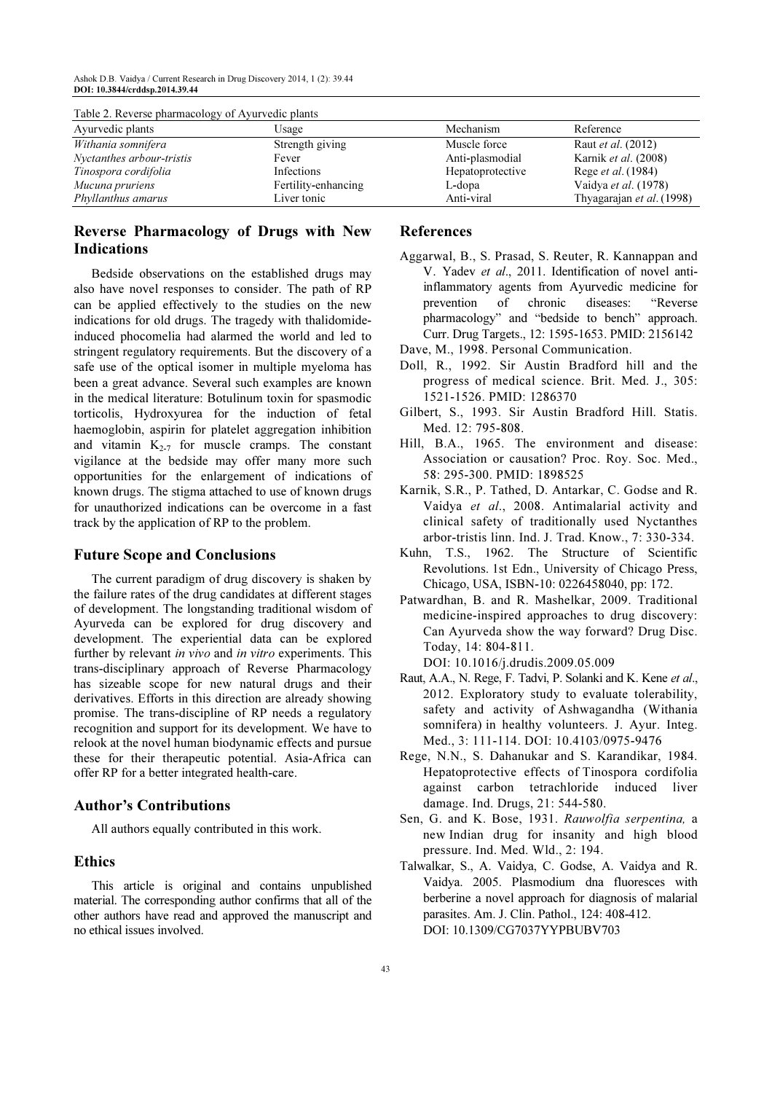| Table 2. Reverse pharmacology of Ayurveuld plants |                  |                           |  |  |  |
|---------------------------------------------------|------------------|---------------------------|--|--|--|
| Usage                                             | Mechanism        | Reference                 |  |  |  |
| Strength giving                                   | Muscle force     | Raut <i>et al.</i> (2012) |  |  |  |
| Fever                                             | Anti-plasmodial  | Karnik et al. (2008)      |  |  |  |
| Infections                                        | Hepatoprotective | Rege <i>et al.</i> (1984) |  |  |  |
| Fertility-enhancing                               | L-dopa           | Vaidya et al. (1978)      |  |  |  |
| Liver tonic                                       | Anti-viral       | Thyagarajan et al. (1998) |  |  |  |
|                                                   |                  |                           |  |  |  |

# $T_{\rm c}$  1.1.  $\Delta$ ,  $\mathbf{D}_{\rm c}$  are verse pharmacology of  $\mathbf{D}_{\rm c}$  are  $\mathbf{D}_{\rm c}$  plants

## Reverse Pharmacology of Drugs with New Indications

Bedside observations on the established drugs may also have novel responses to consider. The path of RP can be applied effectively to the studies on the new indications for old drugs. The tragedy with thalidomideinduced phocomelia had alarmed the world and led to stringent regulatory requirements. But the discovery of a safe use of the optical isomer in multiple myeloma has been a great advance. Several such examples are known in the medical literature: Botulinum toxin for spasmodic torticolis, Hydroxyurea for the induction of fetal haemoglobin, aspirin for platelet aggregation inhibition and vitamin  $K_{2-7}$  for muscle cramps. The constant vigilance at the bedside may offer many more such opportunities for the enlargement of indications of known drugs. The stigma attached to use of known drugs for unauthorized indications can be overcome in a fast track by the application of RP to the problem.

#### Future Scope and Conclusions

The current paradigm of drug discovery is shaken by the failure rates of the drug candidates at different stages of development. The longstanding traditional wisdom of Ayurveda can be explored for drug discovery and development. The experiential data can be explored further by relevant in vivo and in vitro experiments. This trans-disciplinary approach of Reverse Pharmacology has sizeable scope for new natural drugs and their derivatives. Efforts in this direction are already showing promise. The trans-discipline of RP needs a regulatory recognition and support for its development. We have to relook at the novel human biodynamic effects and pursue these for their therapeutic potential. Asia-Africa can offer RP for a better integrated health-care.

### Author's Contributions

All authors equally contributed in this work.

#### Ethics

This article is original and contains unpublished material. The corresponding author confirms that all of the other authors have read and approved the manuscript and no ethical issues involved.

#### References

- Aggarwal, B., S. Prasad, S. Reuter, R. Kannappan and V. Yadev et al., 2011. Identification of novel antiinflammatory agents from Ayurvedic medicine for prevention of chronic diseases: "Reverse pharmacology" and "bedside to bench" approach. Curr. Drug Targets., 12: 1595-1653. PMID: 2156142
- Dave, M., 1998. Personal Communication.
- Doll, R., 1992. Sir Austin Bradford hill and the progress of medical science. Brit. Med. J., 305: 1521-1526. PMID: 1286370
- Gilbert, S., 1993. Sir Austin Bradford Hill. Statis. Med. 12: 795-808.
- Hill, B.A., 1965. The environment and disease: Association or causation? Proc. Roy. Soc. Med., 58: 295-300. PMID: 1898525
- Karnik, S.R., P. Tathed, D. Antarkar, C. Godse and R. Vaidya et al., 2008. Antimalarial activity and clinical safety of traditionally used Nyctanthes arbor-tristis linn. Ind. J. Trad. Know., 7: 330-334.
- Kuhn, T.S., 1962. The Structure of Scientific Revolutions. 1st Edn., University of Chicago Press, Chicago, USA, ISBN-10: 0226458040, pp: 172.
- Patwardhan, B. and R. Mashelkar, 2009. Traditional medicine-inspired approaches to drug discovery: Can Ayurveda show the way forward? Drug Disc. Today, 14: 804-811. DOI: 10.1016/j.drudis.2009.05.009
- Raut, A.A., N. Rege, F. Tadvi, P. Solanki and K. Kene et al., 2012. Exploratory study to evaluate tolerability, safety and activity of Ashwagandha (Withania somnifera) in healthy volunteers. J. Ayur. Integ. Med., 3: 111-114. DOI: 10.4103/0975-9476
- Rege, N.N., S. Dahanukar and S. Karandikar, 1984. Hepatoprotective effects of Tinospora cordifolia against carbon tetrachloride induced liver damage. Ind. Drugs, 21: 544-580.
- Sen, G. and K. Bose, 1931. Rauwolfia serpentina, a new Indian drug for insanity and high blood pressure. Ind. Med. Wld., 2: 194.
- Talwalkar, S., A. Vaidya, C. Godse, A. Vaidya and R. Vaidya. 2005. Plasmodium dna fluoresces with berberine a novel approach for diagnosis of malarial parasites. Am. J. Clin. Pathol., 124: 408-412. DOI: 10.1309/CG7037YYPBUBV703